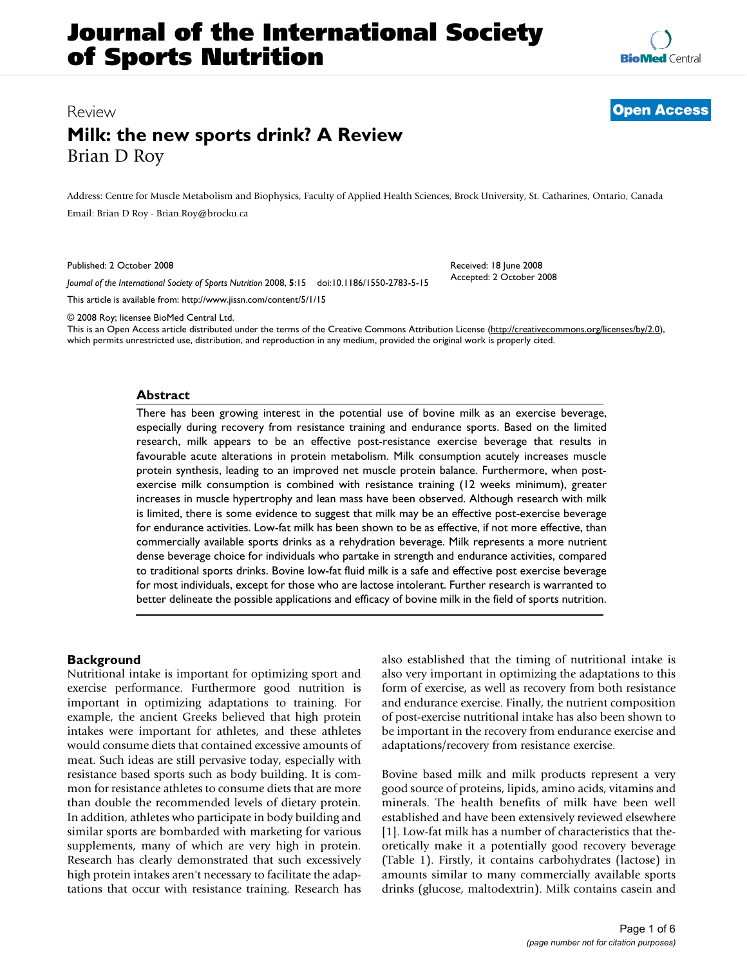**[BioMed](http://www.biomedcentral.com/)** Central

# Review **[Open Access](http://www.biomedcentral.com/info/about/charter/) Milk: the new sports drink? A Review** Brian D Roy

Address: Centre for Muscle Metabolism and Biophysics, Faculty of Applied Health Sciences, Brock University, St. Catharines, Ontario, Canada Email: Brian D Roy - Brian.Roy@brocku.ca

Published: 2 October 2008

*Journal of the International Society of Sports Nutrition* 2008, **5**:15 doi:10.1186/1550-2783-5-15

[This article is available from: http://www.jissn.com/content/5/1/15](http://www.jissn.com/content/5/1/15)

© 2008 Roy; licensee BioMed Central Ltd.

This is an Open Access article distributed under the terms of the Creative Commons Attribution License [\(http://creativecommons.org/licenses/by/2.0\)](http://creativecommons.org/licenses/by/2.0), which permits unrestricted use, distribution, and reproduction in any medium, provided the original work is properly cited.

#### **Abstract**

There has been growing interest in the potential use of bovine milk as an exercise beverage, especially during recovery from resistance training and endurance sports. Based on the limited research, milk appears to be an effective post-resistance exercise beverage that results in favourable acute alterations in protein metabolism. Milk consumption acutely increases muscle protein synthesis, leading to an improved net muscle protein balance. Furthermore, when postexercise milk consumption is combined with resistance training (12 weeks minimum), greater increases in muscle hypertrophy and lean mass have been observed. Although research with milk is limited, there is some evidence to suggest that milk may be an effective post-exercise beverage for endurance activities. Low-fat milk has been shown to be as effective, if not more effective, than commercially available sports drinks as a rehydration beverage. Milk represents a more nutrient dense beverage choice for individuals who partake in strength and endurance activities, compared to traditional sports drinks. Bovine low-fat fluid milk is a safe and effective post exercise beverage for most individuals, except for those who are lactose intolerant. Further research is warranted to better delineate the possible applications and efficacy of bovine milk in the field of sports nutrition.

# **Background**

Nutritional intake is important for optimizing sport and exercise performance. Furthermore good nutrition is important in optimizing adaptations to training. For example, the ancient Greeks believed that high protein intakes were important for athletes, and these athletes would consume diets that contained excessive amounts of meat. Such ideas are still pervasive today, especially with resistance based sports such as body building. It is common for resistance athletes to consume diets that are more than double the recommended levels of dietary protein. In addition, athletes who participate in body building and similar sports are bombarded with marketing for various supplements, many of which are very high in protein. Research has clearly demonstrated that such excessively high protein intakes aren't necessary to facilitate the adaptations that occur with resistance training. Research has also established that the timing of nutritional intake is also very important in optimizing the adaptations to this form of exercise, as well as recovery from both resistance and endurance exercise. Finally, the nutrient composition of post-exercise nutritional intake has also been shown to be important in the recovery from endurance exercise and adaptations/recovery from resistance exercise.

Received: 18 June 2008 Accepted: 2 October 2008

Bovine based milk and milk products represent a very good source of proteins, lipids, amino acids, vitamins and minerals. The health benefits of milk have been well established and have been extensively reviewed elsewhere [1]. Low-fat milk has a number of characteristics that theoretically make it a potentially good recovery beverage (Table 1). Firstly, it contains carbohydrates (lactose) in amounts similar to many commercially available sports drinks (glucose, maltodextrin). Milk contains casein and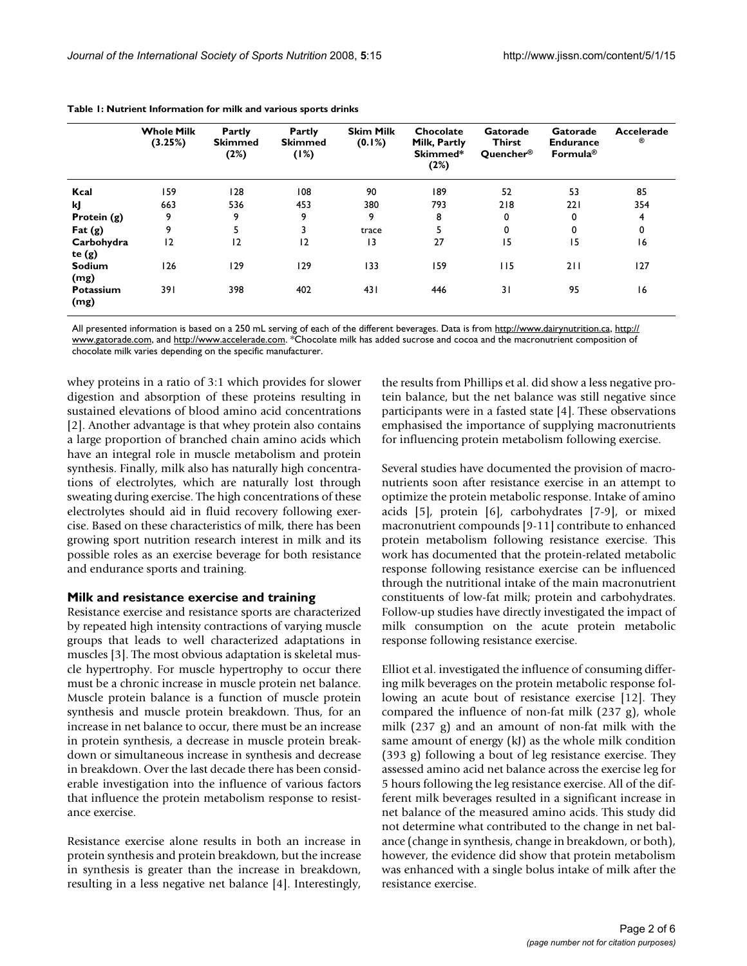|                                       | <b>Whole Milk</b><br>(3.25%) | Partly<br><b>Skimmed</b><br>(2%) | <b>Partly</b><br><b>Skimmed</b><br>(1%) | <b>Skim Milk</b><br>(0.1%) | Chocolate<br>Milk, Partly<br>Skimmed*<br>(2%) | Gatorade<br><b>Thirst</b><br>Quencher® | Gatorade<br><b>Endurance</b><br>Formula <sup>®</sup> | Accelerade<br>® |
|---------------------------------------|------------------------------|----------------------------------|-----------------------------------------|----------------------------|-----------------------------------------------|----------------------------------------|------------------------------------------------------|-----------------|
| Kcal                                  | 159                          | 128                              | 108                                     | 90                         | 189                                           | 52                                     | 53                                                   | 85              |
| kJ                                    | 663                          | 536                              | 453                                     | 380                        | 793                                           | 218                                    | 221                                                  | 354             |
| Protein (g)                           | 9                            | 9                                | 9                                       | 9                          | 8                                             | 0                                      | 0                                                    | 4               |
| $\mathsf{Fat}\left(\mathsf{g}\right)$ | 9                            | 5                                | 3                                       | trace                      | 5                                             | 0                                      | 0                                                    | 0               |
| Carbohydra<br>te $(g)$                | 2                            | 12                               | 12                                      | $\overline{13}$            | 27                                            | 15                                     | 15                                                   | 16              |
| <b>Sodium</b><br>(mg)                 | 126                          | 129                              | 129                                     | 133                        | 159                                           | 115                                    | 211                                                  | 127             |
| Potassium<br>(mg)                     | 391                          | 398                              | 402                                     | 431                        | 446                                           | 31                                     | 95                                                   | 16              |

**Table 1: Nutrient Information for milk and various sports drinks**

All presented information is based on a 250 mL serving of each of the different beverages. Data is from <http://www.dairynutrition.ca>, [http://](http://www.gatorade.com) [www.gatorade.com](http://www.gatorade.com), and [http://www.accelerade.com.](http://www.accelerade.com) \*Chocolate milk has added sucrose and cocoa and the macronutrient composition of chocolate milk varies depending on the specific manufacturer.

whey proteins in a ratio of 3:1 which provides for slower digestion and absorption of these proteins resulting in sustained elevations of blood amino acid concentrations [2]. Another advantage is that whey protein also contains a large proportion of branched chain amino acids which have an integral role in muscle metabolism and protein synthesis. Finally, milk also has naturally high concentrations of electrolytes, which are naturally lost through sweating during exercise. The high concentrations of these electrolytes should aid in fluid recovery following exercise. Based on these characteristics of milk, there has been growing sport nutrition research interest in milk and its possible roles as an exercise beverage for both resistance and endurance sports and training.

### **Milk and resistance exercise and training**

Resistance exercise and resistance sports are characterized by repeated high intensity contractions of varying muscle groups that leads to well characterized adaptations in muscles [3]. The most obvious adaptation is skeletal muscle hypertrophy. For muscle hypertrophy to occur there must be a chronic increase in muscle protein net balance. Muscle protein balance is a function of muscle protein synthesis and muscle protein breakdown. Thus, for an increase in net balance to occur, there must be an increase in protein synthesis, a decrease in muscle protein breakdown or simultaneous increase in synthesis and decrease in breakdown. Over the last decade there has been considerable investigation into the influence of various factors that influence the protein metabolism response to resistance exercise.

Resistance exercise alone results in both an increase in protein synthesis and protein breakdown, but the increase in synthesis is greater than the increase in breakdown, resulting in a less negative net balance [4]. Interestingly,

the results from Phillips et al. did show a less negative protein balance, but the net balance was still negative since participants were in a fasted state [4]. These observations emphasised the importance of supplying macronutrients for influencing protein metabolism following exercise.

Several studies have documented the provision of macronutrients soon after resistance exercise in an attempt to optimize the protein metabolic response. Intake of amino acids [5], protein [6], carbohydrates [7-9], or mixed macronutrient compounds [9-11] contribute to enhanced protein metabolism following resistance exercise. This work has documented that the protein-related metabolic response following resistance exercise can be influenced through the nutritional intake of the main macronutrient constituents of low-fat milk; protein and carbohydrates. Follow-up studies have directly investigated the impact of milk consumption on the acute protein metabolic response following resistance exercise.

Elliot et al. investigated the influence of consuming differing milk beverages on the protein metabolic response following an acute bout of resistance exercise [12]. They compared the influence of non-fat milk (237 g), whole milk (237 g) and an amount of non-fat milk with the same amount of energy (kJ) as the whole milk condition (393 g) following a bout of leg resistance exercise. They assessed amino acid net balance across the exercise leg for 5 hours following the leg resistance exercise. All of the different milk beverages resulted in a significant increase in net balance of the measured amino acids. This study did not determine what contributed to the change in net balance (change in synthesis, change in breakdown, or both), however, the evidence did show that protein metabolism was enhanced with a single bolus intake of milk after the resistance exercise.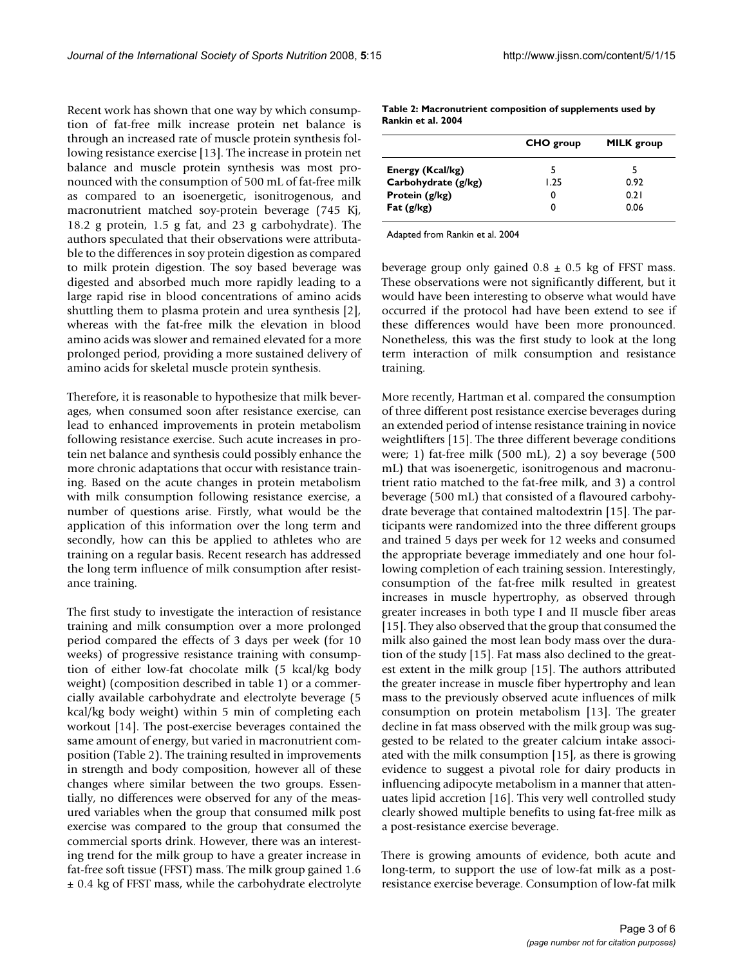Recent work has shown that one way by which consumption of fat-free milk increase protein net balance is through an increased rate of muscle protein synthesis following resistance exercise [13]. The increase in protein net balance and muscle protein synthesis was most pronounced with the consumption of 500 mL of fat-free milk as compared to an isoenergetic, isonitrogenous, and macronutrient matched soy-protein beverage (745 Kj, 18.2 g protein, 1.5 g fat, and 23 g carbohydrate). The authors speculated that their observations were attributable to the differences in soy protein digestion as compared to milk protein digestion. The soy based beverage was digested and absorbed much more rapidly leading to a large rapid rise in blood concentrations of amino acids shuttling them to plasma protein and urea synthesis [2], whereas with the fat-free milk the elevation in blood amino acids was slower and remained elevated for a more prolonged period, providing a more sustained delivery of amino acids for skeletal muscle protein synthesis.

Therefore, it is reasonable to hypothesize that milk beverages, when consumed soon after resistance exercise, can lead to enhanced improvements in protein metabolism following resistance exercise. Such acute increases in protein net balance and synthesis could possibly enhance the more chronic adaptations that occur with resistance training. Based on the acute changes in protein metabolism with milk consumption following resistance exercise, a number of questions arise. Firstly, what would be the application of this information over the long term and secondly, how can this be applied to athletes who are training on a regular basis. Recent research has addressed the long term influence of milk consumption after resistance training.

The first study to investigate the interaction of resistance training and milk consumption over a more prolonged period compared the effects of 3 days per week (for 10 weeks) of progressive resistance training with consumption of either low-fat chocolate milk (5 kcal/kg body weight) (composition described in table 1) or a commercially available carbohydrate and electrolyte beverage (5 kcal/kg body weight) within 5 min of completing each workout [14]. The post-exercise beverages contained the same amount of energy, but varied in macronutrient composition (Table 2). The training resulted in improvements in strength and body composition, however all of these changes where similar between the two groups. Essentially, no differences were observed for any of the measured variables when the group that consumed milk post exercise was compared to the group that consumed the commercial sports drink. However, there was an interesting trend for the milk group to have a greater increase in fat-free soft tissue (FFST) mass. The milk group gained 1.6 ± 0.4 kg of FFST mass, while the carbohydrate electrolyte

**Table 2: Macronutrient composition of supplements used by Rankin et al. 2004**

|                     | CHO group | <b>MILK</b> group |
|---------------------|-----------|-------------------|
| Energy (Kcal/kg)    |           | 5                 |
| Carbohydrate (g/kg) | 1.25      | 0.92              |
| Protein (g/kg)      | o         | 0.21              |
| Fat $(g/kg)$        | O         | 0.06              |

Adapted from Rankin et al. 2004

beverage group only gained  $0.8 \pm 0.5$  kg of FFST mass. These observations were not significantly different, but it would have been interesting to observe what would have occurred if the protocol had have been extend to see if these differences would have been more pronounced. Nonetheless, this was the first study to look at the long term interaction of milk consumption and resistance training.

More recently, Hartman et al. compared the consumption of three different post resistance exercise beverages during an extended period of intense resistance training in novice weightlifters [15]. The three different beverage conditions were; 1) fat-free milk (500 mL), 2) a soy beverage (500 mL) that was isoenergetic, isonitrogenous and macronutrient ratio matched to the fat-free milk, and 3) a control beverage (500 mL) that consisted of a flavoured carbohydrate beverage that contained maltodextrin [15]. The participants were randomized into the three different groups and trained 5 days per week for 12 weeks and consumed the appropriate beverage immediately and one hour following completion of each training session. Interestingly, consumption of the fat-free milk resulted in greatest increases in muscle hypertrophy, as observed through greater increases in both type I and II muscle fiber areas [15]. They also observed that the group that consumed the milk also gained the most lean body mass over the duration of the study [15]. Fat mass also declined to the greatest extent in the milk group [15]. The authors attributed the greater increase in muscle fiber hypertrophy and lean mass to the previously observed acute influences of milk consumption on protein metabolism [13]. The greater decline in fat mass observed with the milk group was suggested to be related to the greater calcium intake associated with the milk consumption [15], as there is growing evidence to suggest a pivotal role for dairy products in influencing adipocyte metabolism in a manner that attenuates lipid accretion [16]. This very well controlled study clearly showed multiple benefits to using fat-free milk as a post-resistance exercise beverage.

There is growing amounts of evidence, both acute and long-term, to support the use of low-fat milk as a postresistance exercise beverage. Consumption of low-fat milk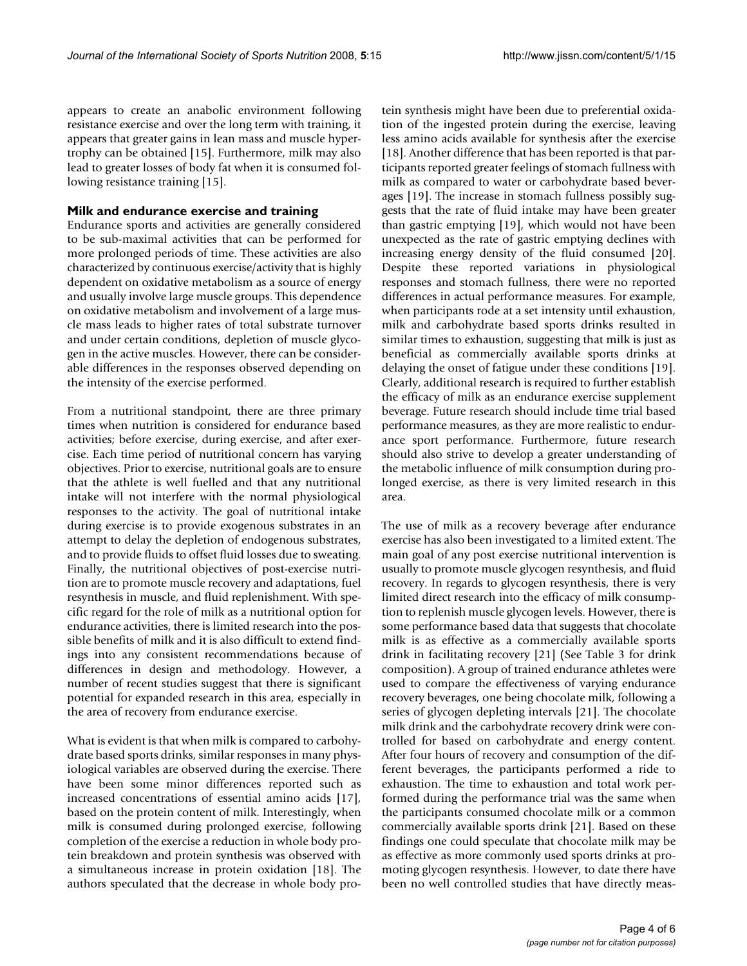appears to create an anabolic environment following resistance exercise and over the long term with training, it appears that greater gains in lean mass and muscle hypertrophy can be obtained [15]. Furthermore, milk may also lead to greater losses of body fat when it is consumed following resistance training [15].

# **Milk and endurance exercise and training**

Endurance sports and activities are generally considered to be sub-maximal activities that can be performed for more prolonged periods of time. These activities are also characterized by continuous exercise/activity that is highly dependent on oxidative metabolism as a source of energy and usually involve large muscle groups. This dependence on oxidative metabolism and involvement of a large muscle mass leads to higher rates of total substrate turnover and under certain conditions, depletion of muscle glycogen in the active muscles. However, there can be considerable differences in the responses observed depending on the intensity of the exercise performed.

From a nutritional standpoint, there are three primary times when nutrition is considered for endurance based activities; before exercise, during exercise, and after exercise. Each time period of nutritional concern has varying objectives. Prior to exercise, nutritional goals are to ensure that the athlete is well fuelled and that any nutritional intake will not interfere with the normal physiological responses to the activity. The goal of nutritional intake during exercise is to provide exogenous substrates in an attempt to delay the depletion of endogenous substrates, and to provide fluids to offset fluid losses due to sweating. Finally, the nutritional objectives of post-exercise nutrition are to promote muscle recovery and adaptations, fuel resynthesis in muscle, and fluid replenishment. With specific regard for the role of milk as a nutritional option for endurance activities, there is limited research into the possible benefits of milk and it is also difficult to extend findings into any consistent recommendations because of differences in design and methodology. However, a number of recent studies suggest that there is significant potential for expanded research in this area, especially in the area of recovery from endurance exercise.

What is evident is that when milk is compared to carbohydrate based sports drinks, similar responses in many physiological variables are observed during the exercise. There have been some minor differences reported such as increased concentrations of essential amino acids [17], based on the protein content of milk. Interestingly, when milk is consumed during prolonged exercise, following completion of the exercise a reduction in whole body protein breakdown and protein synthesis was observed with a simultaneous increase in protein oxidation [18]. The authors speculated that the decrease in whole body protein synthesis might have been due to preferential oxidation of the ingested protein during the exercise, leaving less amino acids available for synthesis after the exercise [18]. Another difference that has been reported is that participants reported greater feelings of stomach fullness with milk as compared to water or carbohydrate based beverages [19]. The increase in stomach fullness possibly suggests that the rate of fluid intake may have been greater than gastric emptying [19], which would not have been unexpected as the rate of gastric emptying declines with increasing energy density of the fluid consumed [20]. Despite these reported variations in physiological responses and stomach fullness, there were no reported differences in actual performance measures. For example, when participants rode at a set intensity until exhaustion, milk and carbohydrate based sports drinks resulted in similar times to exhaustion, suggesting that milk is just as beneficial as commercially available sports drinks at delaying the onset of fatigue under these conditions [19]. Clearly, additional research is required to further establish the efficacy of milk as an endurance exercise supplement beverage. Future research should include time trial based performance measures, as they are more realistic to endurance sport performance. Furthermore, future research should also strive to develop a greater understanding of the metabolic influence of milk consumption during prolonged exercise, as there is very limited research in this area.

The use of milk as a recovery beverage after endurance exercise has also been investigated to a limited extent. The main goal of any post exercise nutritional intervention is usually to promote muscle glycogen resynthesis, and fluid recovery. In regards to glycogen resynthesis, there is very limited direct research into the efficacy of milk consumption to replenish muscle glycogen levels. However, there is some performance based data that suggests that chocolate milk is as effective as a commercially available sports drink in facilitating recovery [21] (See Table 3 for drink composition). A group of trained endurance athletes were used to compare the effectiveness of varying endurance recovery beverages, one being chocolate milk, following a series of glycogen depleting intervals [21]. The chocolate milk drink and the carbohydrate recovery drink were controlled for based on carbohydrate and energy content. After four hours of recovery and consumption of the different beverages, the participants performed a ride to exhaustion. The time to exhaustion and total work performed during the performance trial was the same when the participants consumed chocolate milk or a common commercially available sports drink [21]. Based on these findings one could speculate that chocolate milk may be as effective as more commonly used sports drinks at promoting glycogen resynthesis. However, to date there have been no well controlled studies that have directly meas-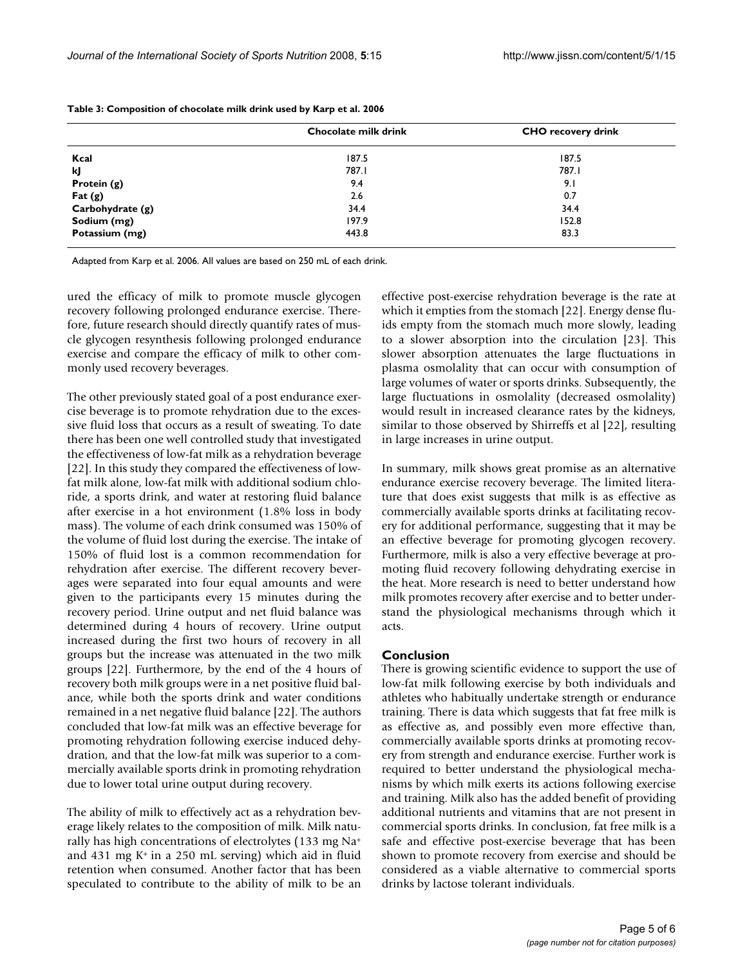|                  | <b>Chocolate milk drink</b> | <b>CHO</b> recovery drink |  |
|------------------|-----------------------------|---------------------------|--|
| Kcal             | 187.5                       | 187.5                     |  |
| kJ               | 787.I                       | 787.I                     |  |
| Protein (g)      | 9.4                         | 9.1                       |  |
| $ext{Fat}$ (g)   | 2.6                         | 0.7                       |  |
| Carbohydrate (g) | 34.4                        | 34.4                      |  |
| Sodium (mg)      | 197.9                       | 152.8                     |  |
| Potassium (mg)   | 443.8                       | 83.3                      |  |

**Table 3: Composition of chocolate milk drink used by Karp et al. 2006**

Adapted from Karp et al. 2006. All values are based on 250 mL of each drink.

ured the efficacy of milk to promote muscle glycogen recovery following prolonged endurance exercise. Therefore, future research should directly quantify rates of muscle glycogen resynthesis following prolonged endurance exercise and compare the efficacy of milk to other commonly used recovery beverages.

The other previously stated goal of a post endurance exercise beverage is to promote rehydration due to the excessive fluid loss that occurs as a result of sweating. To date there has been one well controlled study that investigated the effectiveness of low-fat milk as a rehydration beverage [22]. In this study they compared the effectiveness of lowfat milk alone, low-fat milk with additional sodium chloride, a sports drink, and water at restoring fluid balance after exercise in a hot environment (1.8% loss in body mass). The volume of each drink consumed was 150% of the volume of fluid lost during the exercise. The intake of 150% of fluid lost is a common recommendation for rehydration after exercise. The different recovery beverages were separated into four equal amounts and were given to the participants every 15 minutes during the recovery period. Urine output and net fluid balance was determined during 4 hours of recovery. Urine output increased during the first two hours of recovery in all groups but the increase was attenuated in the two milk groups [22]. Furthermore, by the end of the 4 hours of recovery both milk groups were in a net positive fluid balance, while both the sports drink and water conditions remained in a net negative fluid balance [22]. The authors concluded that low-fat milk was an effective beverage for promoting rehydration following exercise induced dehydration, and that the low-fat milk was superior to a commercially available sports drink in promoting rehydration due to lower total urine output during recovery.

The ability of milk to effectively act as a rehydration beverage likely relates to the composition of milk. Milk naturally has high concentrations of electrolytes (133 mg Na+ and 431 mg  $K^+$  in a 250 mL serving) which aid in fluid retention when consumed. Another factor that has been speculated to contribute to the ability of milk to be an

effective post-exercise rehydration beverage is the rate at which it empties from the stomach [22]. Energy dense fluids empty from the stomach much more slowly, leading to a slower absorption into the circulation [23]. This slower absorption attenuates the large fluctuations in plasma osmolality that can occur with consumption of large volumes of water or sports drinks. Subsequently, the large fluctuations in osmolality (decreased osmolality) would result in increased clearance rates by the kidneys, similar to those observed by Shirreffs et al [22], resulting in large increases in urine output.

In summary, milk shows great promise as an alternative endurance exercise recovery beverage. The limited literature that does exist suggests that milk is as effective as commercially available sports drinks at facilitating recovery for additional performance, suggesting that it may be an effective beverage for promoting glycogen recovery. Furthermore, milk is also a very effective beverage at promoting fluid recovery following dehydrating exercise in the heat. More research is need to better understand how milk promotes recovery after exercise and to better understand the physiological mechanisms through which it acts.

# **Conclusion**

There is growing scientific evidence to support the use of low-fat milk following exercise by both individuals and athletes who habitually undertake strength or endurance training. There is data which suggests that fat free milk is as effective as, and possibly even more effective than, commercially available sports drinks at promoting recovery from strength and endurance exercise. Further work is required to better understand the physiological mechanisms by which milk exerts its actions following exercise and training. Milk also has the added benefit of providing additional nutrients and vitamins that are not present in commercial sports drinks. In conclusion, fat free milk is a safe and effective post-exercise beverage that has been shown to promote recovery from exercise and should be considered as a viable alternative to commercial sports drinks by lactose tolerant individuals.